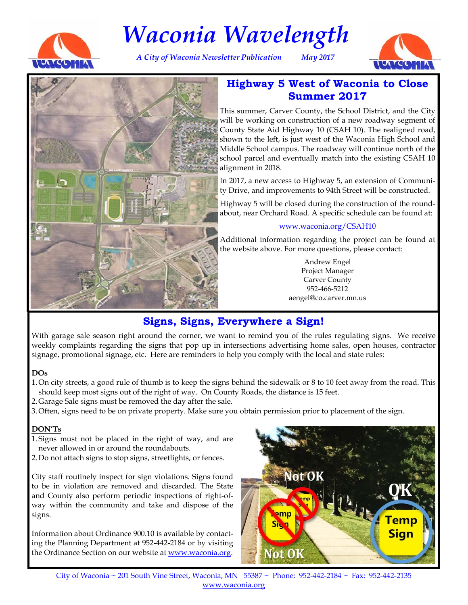

# *Waconia Wavelength*

*A City of Waconia Newsletter Publication May 2017* 





# **Highway 5 West of Waconia to Close Summer 2017**

This summer, Carver County, the School District, and the City will be working on construction of a new roadway segment of County State Aid Highway 10 (CSAH 10). The realigned road, shown to the left, is just west of the Waconia High School and Middle School campus. The roadway will continue north of the school parcel and eventually match into the existing CSAH 10 alignment in 2018.

In 2017, a new access to Highway 5, an extension of Community Drive, and improvements to 94th Street will be constructed.

Highway 5 will be closed during the construction of the roundabout, near Orchard Road. A specific schedule can be found at:

#### www.waconia.org/CSAH10

Additional information regarding the project can be found at the website above. For more questions, please contact:

> Andrew Engel Project Manager Carver County 952-466-5212 aengel@co.carver.mn.us

# **Signs, Signs, Everywhere a Sign!**

With garage sale season right around the corner, we want to remind you of the rules regulating signs. We receive weekly complaints regarding the signs that pop up in intersections advertising home sales, open houses, contractor signage, promotional signage, etc. Here are reminders to help you comply with the local and state rules:

#### **DOs**

- 1. On city streets, a good rule of thumb is to keep the signs behind the sidewalk or 8 to 10 feet away from the road. This should keep most signs out of the right of way. On County Roads, the distance is 15 feet.
- 2. Garage Sale signs must be removed the day after the sale.
- 3. Often, signs need to be on private property. Make sure you obtain permission prior to placement of the sign.

#### **DON'Ts**

- 1. Signs must not be placed in the right of way, and are never allowed in or around the roundabouts.
- 2. Do not attach signs to stop signs, streetlights, or fences.

City staff routinely inspect for sign violations. Signs found to be in violation are removed and discarded. The State and County also perform periodic inspections of right-ofway within the community and take and dispose of the signs.

Information about Ordinance 900.10 is available by contacting the Planning Department at 952-442-2184 or by visiting the Ordinance Section on our website at www.waconia.org.